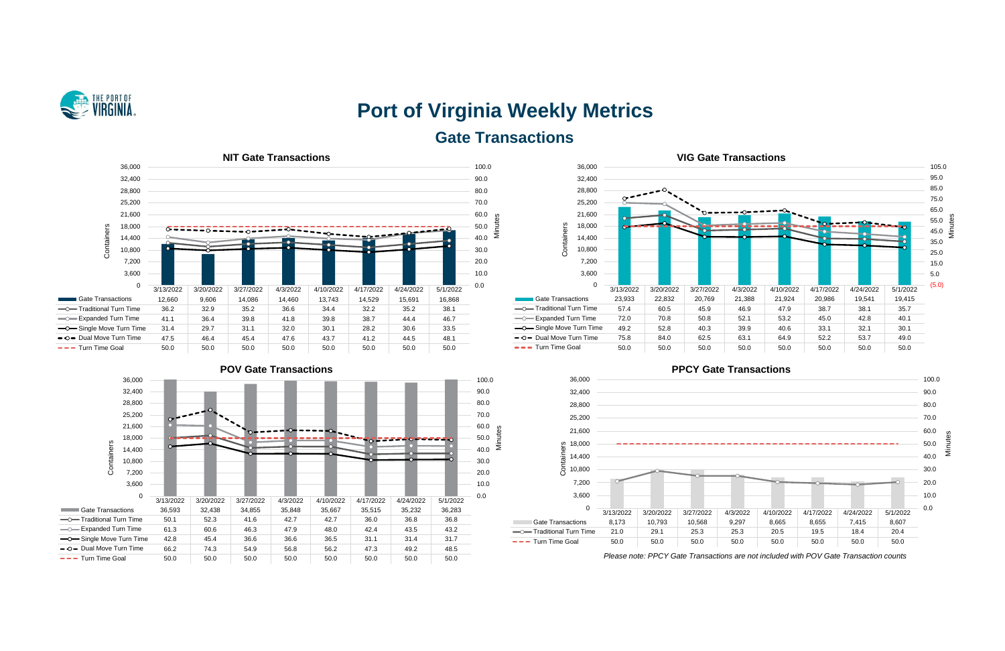

# **Port of Virginia Weekly Metrics Gate Transactions**











*Please note: PPCY Gate Transactions are not included with POV Gate Transaction counts*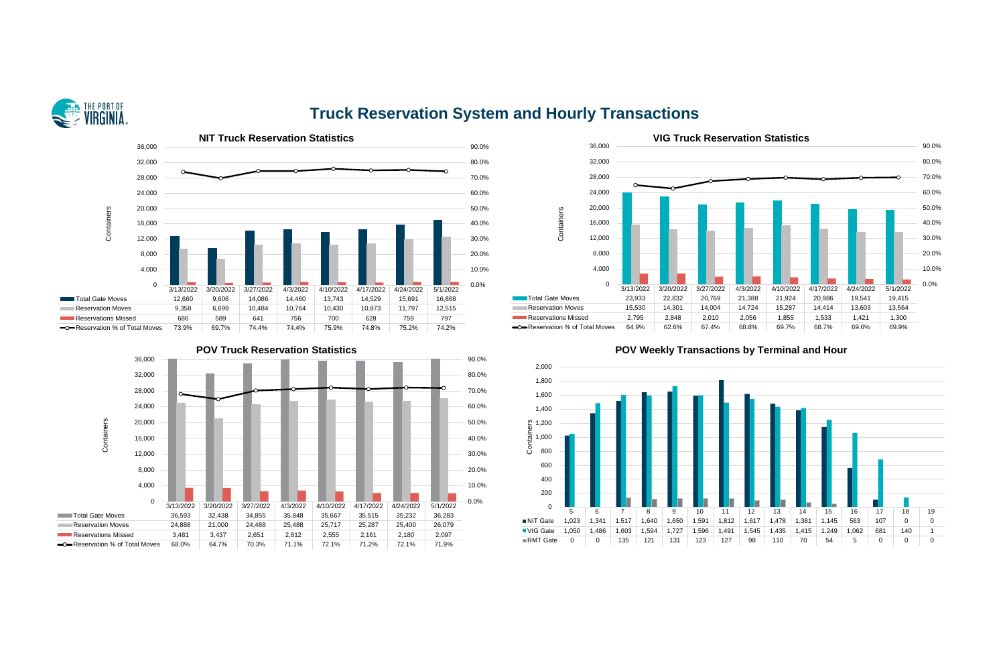

## **Truck Reservation System and Hourly Transactions**







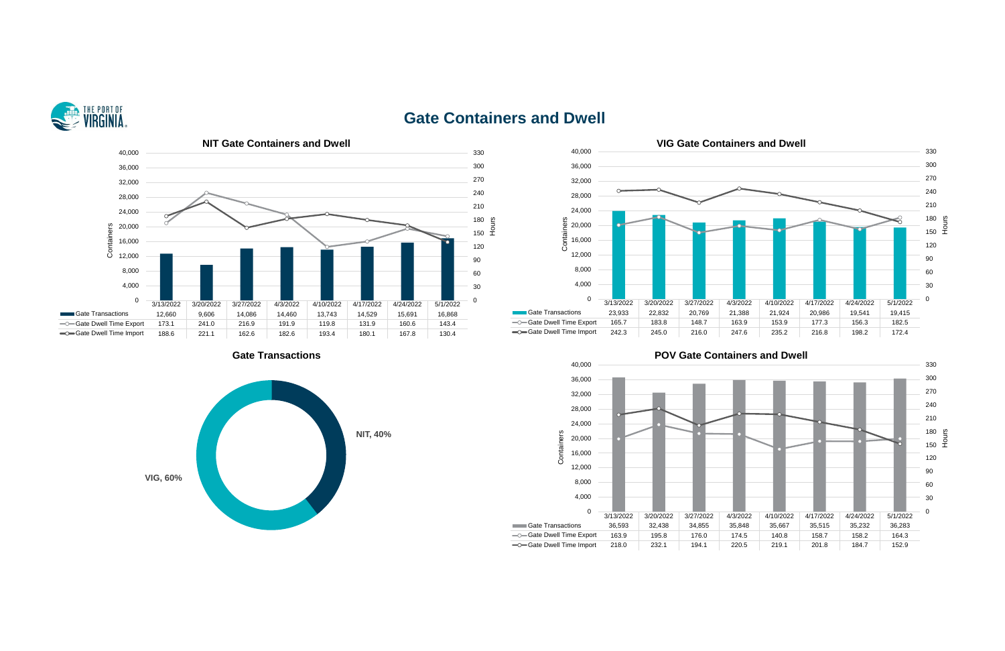

### **Gate Containers and Dwell**